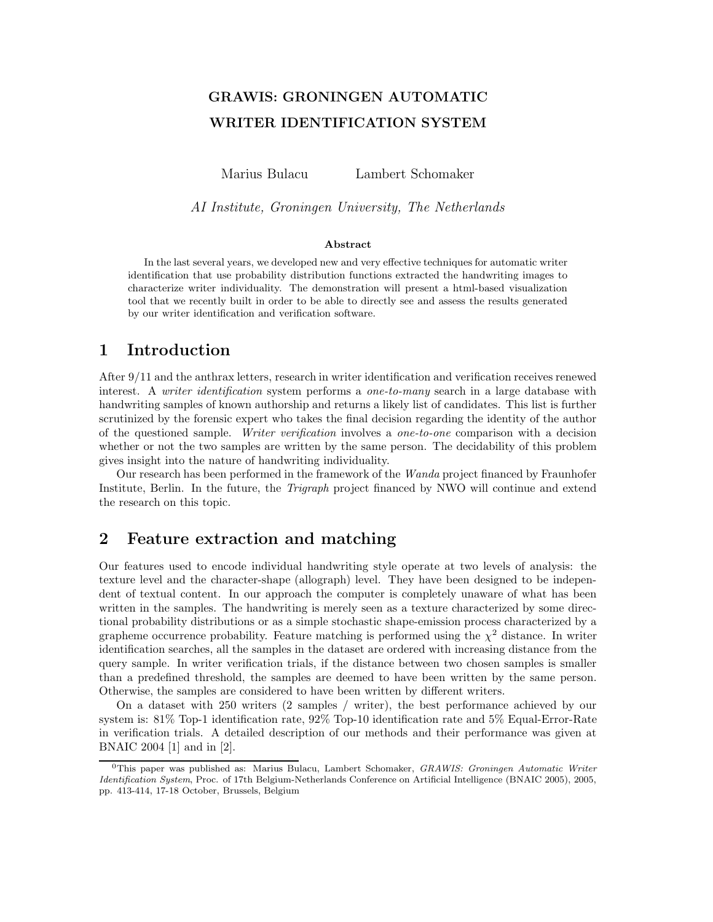# GRAWIS: GRONINGEN AUTOMATIC WRITER IDENTIFICATION SYSTEM

Marius Bulacu Lambert Schomaker

AI Institute, Groningen University, The Netherlands

#### Abstract

In the last several years, we developed new and very effective techniques for automatic writer identification that use probability distribution functions extracted the handwriting images to characterize writer individuality. The demonstration will present a html-based visualization tool that we recently built in order to be able to directly see and assess the results generated by our writer identification and verification software.

#### 1 Introduction

After 9/11 and the anthrax letters, research in writer identification and verification receives renewed interest. A *writer identification* system performs a *one-to-many* search in a large database with handwriting samples of known authorship and returns a likely list of candidates. This list is further scrutinized by the forensic expert who takes the final decision regarding the identity of the author of the questioned sample. Writer verification involves a one-to-one comparison with a decision whether or not the two samples are written by the same person. The decidability of this problem gives insight into the nature of handwriting individuality.

Our research has been performed in the framework of the Wanda project financed by Fraunhofer Institute, Berlin. In the future, the Trigraph project financed by NWO will continue and extend the research on this topic.

### 2 Feature extraction and matching

Our features used to encode individual handwriting style operate at two levels of analysis: the texture level and the character-shape (allograph) level. They have been designed to be independent of textual content. In our approach the computer is completely unaware of what has been written in the samples. The handwriting is merely seen as a texture characterized by some directional probability distributions or as a simple stochastic shape-emission process characterized by a grapheme occurrence probability. Feature matching is performed using the  $\chi^2$  distance. In writer identification searches, all the samples in the dataset are ordered with increasing distance from the query sample. In writer verification trials, if the distance between two chosen samples is smaller than a predefined threshold, the samples are deemed to have been written by the same person. Otherwise, the samples are considered to have been written by different writers.

On a dataset with 250 writers (2 samples / writer), the best performance achieved by our system is: 81% Top-1 identification rate, 92% Top-10 identification rate and 5% Equal-Error-Rate in verification trials. A detailed description of our methods and their performance was given at BNAIC 2004 [1] and in [2].

 $0$ This paper was published as: Marius Bulacu, Lambert Schomaker, GRAWIS: Groningen Automatic Writer Identification System, Proc. of 17th Belgium-Netherlands Conference on Artificial Intelligence (BNAIC 2005), 2005, pp. 413-414, 17-18 October, Brussels, Belgium